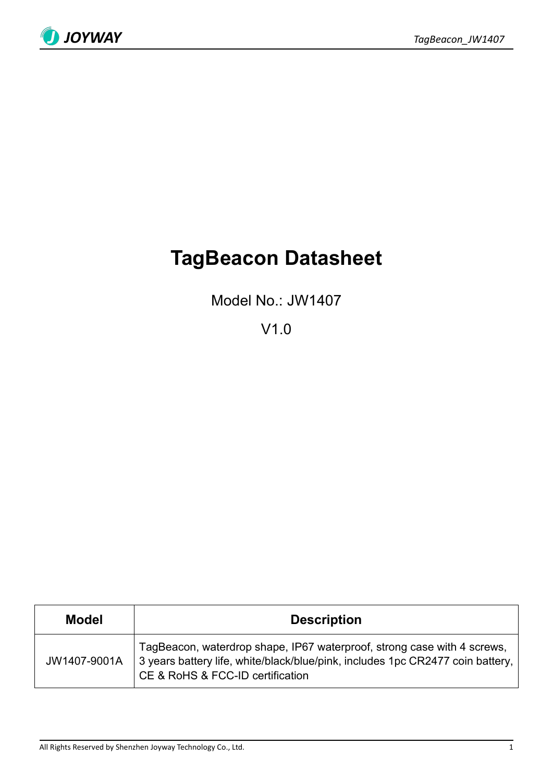

# **TagBeacon Datasheet**

Model No.: JW1407

V1.0

| Model        | <b>Description</b>                                                                                                                                                                            |
|--------------|-----------------------------------------------------------------------------------------------------------------------------------------------------------------------------------------------|
| JW1407-9001A | TagBeacon, waterdrop shape, IP67 waterproof, strong case with 4 screws,<br>3 years battery life, white/black/blue/pink, includes 1pc CR2477 coin battery,<br>CE & RoHS & FCC-ID certification |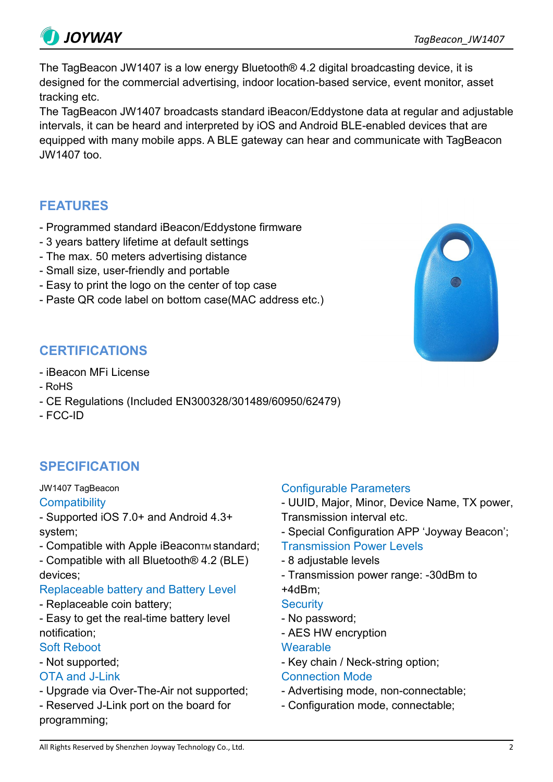The TagBeacon JW1407 is a low energy Bluetooth® 4.2 digital broadcasting device, it is designed for the commercial advertising, indoor location-based service, event monitor, asset tracking etc.

The TagBeacon JW1407 broadcasts standard iBeacon/Eddystone data at regular and adjustable intervals, it can be heard and interpreted by iOS and Android BLE-enabled devices that are equipped with many mobile apps. A BLE gateway can hear and communicate with TagBeacon JW1407 too.

# **FEATURES**

- Programmed standard iBeacon/Eddystone firmware
- 3 years battery lifetime at default settings
- The max. 50 meters advertising distance
- Small size, user-friendly and portable
- Easy to print the logo on the center of top case
- Paste QR code label on bottom case(MAC address etc.)

# - iBeacon MFi License

**CERTIFICATIONS**

- RoHS
- CE Regulations (Included EN300328/301489/60950/62479)
- FCC-ID

# **SPECIFICATION**

JW1407 TagBeacon

#### **Compatibility**

- Supported iOS 7.0+ and Android 4.3+ system;

- Compatible with Apple iBeaconTM standard;
- Compatible with all Bluetooth® 4.2 (BLE) devices;

### Replaceable battery and Battery Level

- Replaceable coin battery;
- Easy to get the real-time battery level notification;

#### Soft Reboot

- Not supported;

### OTA and J-Link

- Upgrade via Over-The-Air not supported;

- Reserved J-Link port on the board for programming;

### Configurable Parameters

- UUID, Major, Minor, Device Name, TX power, Transmission interval etc.

- Special Configuration APP 'Joyway Beacon';
- Transmission Power Levels
- 8 adjustable levels
- Transmission power range: -30dBm to

# +4dBm;

- **Security**
- No password; - AES HW encryption
- **Wearable**
- Key chain / Neck-string option;

### Connection Mode

- Advertising mode, non-connectable;
- Configuration mode, connectable;



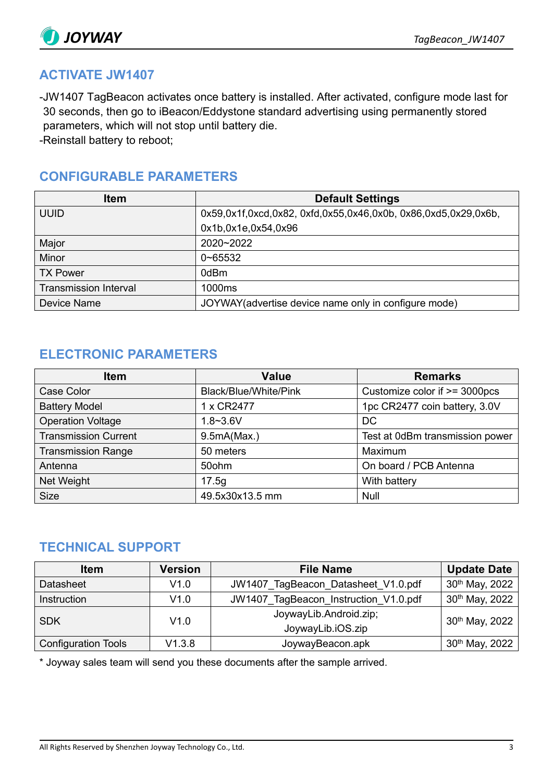

## **ACTIVATE JW1407**

-JW1407 TagBeacon activates once battery is installed. After activated, configure mode last for 30 seconds, then go to iBeacon/Eddystone standard advertising using permanently stored parameters, which will not stop until battery die.

-Reinstall battery to reboot;

## **CONFIGURABLE PARAMETERS**

| <b>Item</b>                  | <b>Default Settings</b>                                        |
|------------------------------|----------------------------------------------------------------|
| <b>UUID</b>                  | 0x59,0x1f,0xcd,0x82, 0xfd,0x55,0x46,0x0b, 0x86,0xd5,0x29,0x6b, |
|                              | 0x1b,0x1e,0x54,0x96                                            |
| Major                        | 2020~2022                                                      |
| Minor                        | $0 - 65532$                                                    |
| <b>TX Power</b>              | 0dBm                                                           |
| <b>Transmission Interval</b> | 1000ms                                                         |
| Device Name                  | JOYWAY (advertise device name only in configure mode)          |

### **ELECTRONIC PARAMETERS**

| <b>Item</b>                 | <b>Value</b>          | <b>Remarks</b>                  |
|-----------------------------|-----------------------|---------------------------------|
| Case Color                  | Black/Blue/White/Pink | Customize color if >= 3000pcs   |
| <b>Battery Model</b>        | 1 x CR2477            | 1pc CR2477 coin battery, 3.0V   |
| <b>Operation Voltage</b>    | $1.8 - 3.6V$          | <b>DC</b>                       |
| <b>Transmission Current</b> | 9.5mA(Max.)           | Test at 0dBm transmission power |
| <b>Transmission Range</b>   | 50 meters             | Maximum                         |
| Antenna                     | 50ohm                 | On board / PCB Antenna          |
| Net Weight                  | 17.5q                 | With battery                    |
| <b>Size</b>                 | 49.5x30x13.5 mm       | Null                            |

### **TECHNICAL SUPPORT**

| <b>Item</b>                | <b>Version</b> | <b>File Name</b>                      | <b>Update Date</b>         |
|----------------------------|----------------|---------------------------------------|----------------------------|
| <b>Datasheet</b>           | V1.0           | JW1407 TagBeacon Datasheet V1.0.pdf   | 30 <sup>th</sup> May, 2022 |
| <b>Instruction</b>         | V1.0           | JW1407 TagBeacon Instruction V1.0.pdf | 30th May, 2022             |
| <b>SDK</b>                 | V1.0           | JoywayLib.Android.zip;                | $30th$ May, 2022           |
|                            |                | JoywayLib.iOS.zip                     |                            |
| <b>Configuration Tools</b> | V1.3.8         | JoywayBeacon.apk                      | 30th May, 2022             |

\* Joyway sales team will send you these documents after the sample arrived.